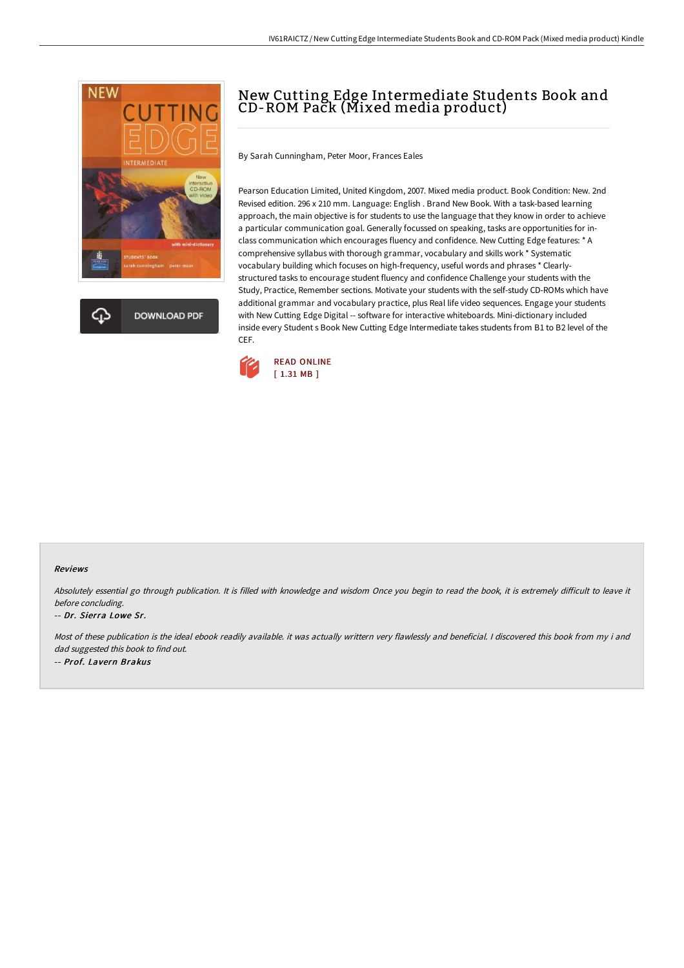



# New Cutting Edge Intermediate Students Book and CD-ROM Pack (Mixed media product)

By Sarah Cunningham, Peter Moor, Frances Eales

Pearson Education Limited, United Kingdom, 2007. Mixed media product. Book Condition: New. 2nd Revised edition. 296 x 210 mm. Language: English . Brand New Book. With a task-based learning approach, the main objective is for students to use the language that they know in order to achieve a particular communication goal. Generally focussed on speaking, tasks are opportunities for inclass communication which encourages fluency and confidence. New Cutting Edge features: \* A comprehensive syllabus with thorough grammar, vocabulary and skills work \* Systematic vocabulary building which focuses on high-frequency, useful words and phrases \* Clearlystructured tasks to encourage student fluency and confidence Challenge your students with the Study, Practice, Remember sections. Motivate your students with the self-study CD-ROMs which have additional grammar and vocabulary practice, plus Real life video sequences. Engage your students with New Cutting Edge Digital -- software for interactive whiteboards. Mini-dictionary included inside every Student s Book New Cutting Edge Intermediate takes students from B1 to B2 level of the CEF.



#### Reviews

Absolutely essential go through publication. It is filled with knowledge and wisdom Once you begin to read the book, it is extremely difficult to leave it before concluding.

#### -- Dr. Sierra Lowe Sr.

Most of these publication is the ideal ebook readily available. it was actually writtern very flawlessly and beneficial. I discovered this book from my i and dad suggested this book to find out. -- Prof. Lavern Brakus